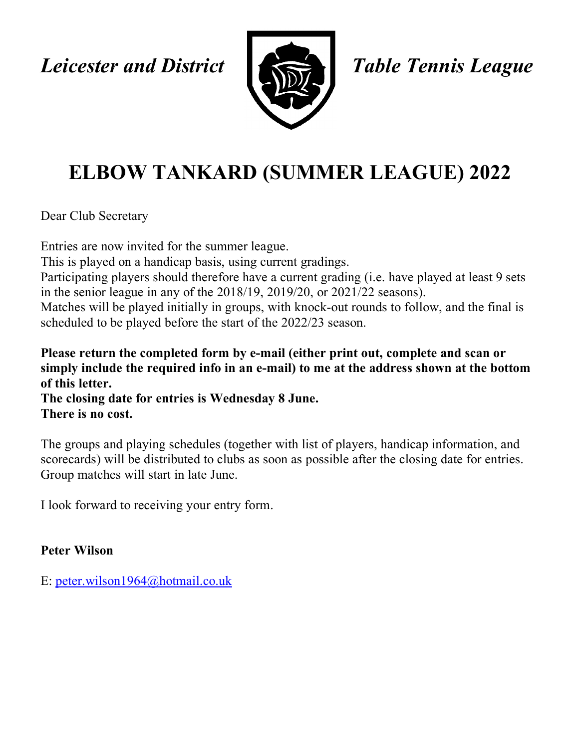*Leicester and District Table Tennis League*



## **ELBOW TANKARD (SUMMER LEAGUE) 2022**

Dear Club Secretary

Entries are now invited for the summer league. This is played on a handicap basis, using current gradings. Participating players should therefore have a current grading (i.e. have played at least 9 sets in the senior league in any of the 2018/19, 2019/20, or 2021/22 seasons). Matches will be played initially in groups, with knock-out rounds to follow, and the final is scheduled to be played before the start of the 2022/23 season.

**Please return the completed form by e-mail (either print out, complete and scan or simply include the required info in an e-mail) to me at the address shown at the bottom of this letter.**

**The closing date for entries is Wednesday 8 June. There is no cost.**

The groups and playing schedules (together with list of players, handicap information, and scorecards) will be distributed to clubs as soon as possible after the closing date for entries. Group matches will start in late June.

I look forward to receiving your entry form.

## **Peter Wilson**

E: peter.wilson1964@hotmail.co.uk